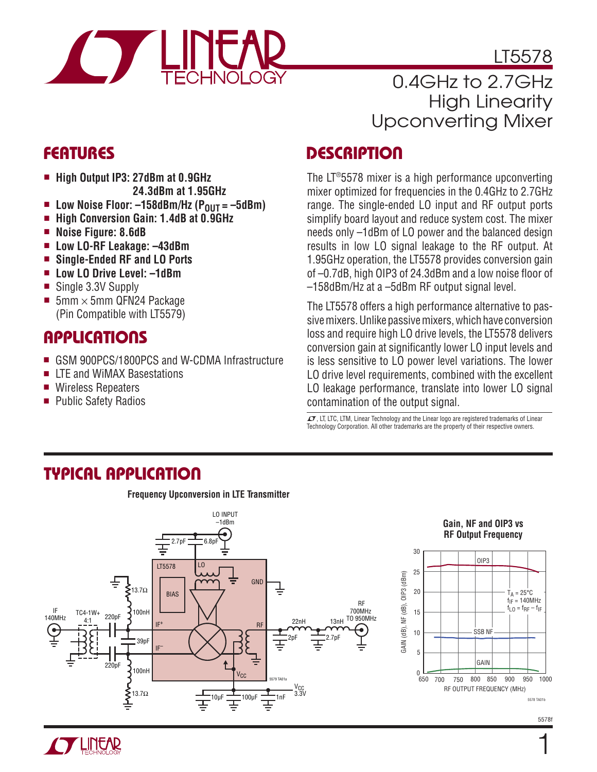

LT5578

### 0.4GHz to 2.7GHz High Linearity Upconverting Mixer

### **FEATURES**

- <sup>n</sup> **High Output IP3: 27dBm at 0.9GHz 24.3dBm at 1.95GHz**
- Low Noise Floor: –158dBm/Hz (P<sub>OUT</sub> = –5dBm)<br>■ High Conversion Gain: 1,4dB at 0,9GHz
- <sup>n</sup> **High Conversion Gain: 1.4dB at 0.9GHz**
- **n** Noise Figure: 8.6dB
- <sup>n</sup> **Low LO-RF Leakage: –43dBm**
- Single-Ended RF and LO Ports
- <sup>n</sup> **Low LO Drive Level: –1dBm**
- Single 3.3V Supply
- 5mm  $\times$  5mm QFN24 Package (Pin Compatible with LT5579)

### **APPLICATIONS**

- <sup>n</sup> GSM 900PCS/1800PCS and W-CDMA Infrastructure
- LTE and WiMAX Basestations
- Wireless Repeaters
- Public Safety Radios

### **DESCRIPTION**

The LT®5578 mixer is a high performance upconverting mixer optimized for frequencies in the 0.4GHz to 2.7GHz range. The single-ended LO input and RF output ports simplify board layout and reduce system cost. The mixer needs only –1dBm of LO power and the balanced design results in low LO signal leakage to the RF output. At 1.95GHz operation, the LT5578 provides conversion gain of  $-0.7$ dB, high OIP3 of 24.3dBm and a low noise floor of –158dBm/Hz at a –5dBm RF output signal level.

The LT5578 offers a high performance alternative to passive mixers. Unlike passive mixers, which have conversion loss and require high LO drive levels, the LT5578 delivers conversion gain at significantly lower LO input levels and is less sensitive to LO power level variations. The lower LO drive level requirements, combined with the excellent LO leakage performance, translate into lower LO signal contamination of the output signal.

 $I$ , LT, LTC, LTM, Linear Technology and the Linear logo are registered trademarks of Linear Technology Corporation. All other trademarks are the property of their respective owners.

### **TYPICAL APPLICATION**

**Frequency Upconversion in LTE Transmitter**





5578 TA01b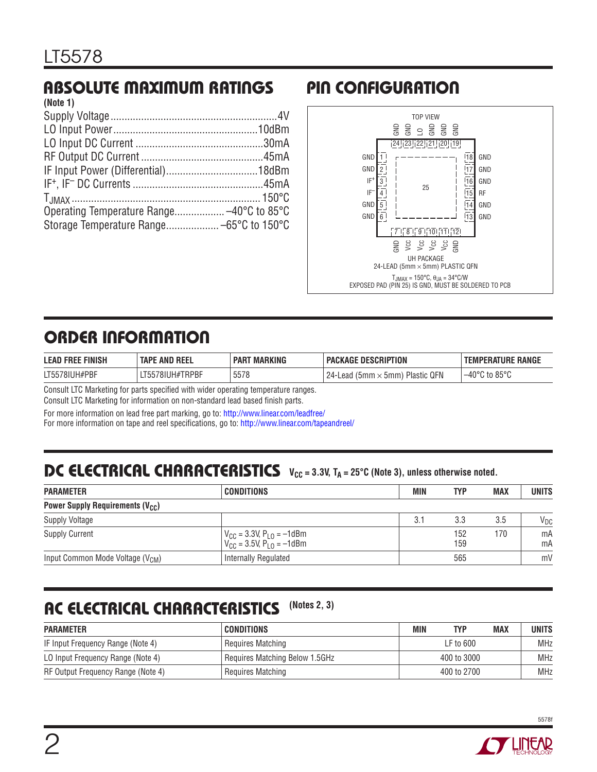#### **ABSOLUTE MAXIMUM RATINGS PIN CONFIGURATION (Note 1)**

| INULG II |  |
|----------|--|
|          |  |
|          |  |
|          |  |
|          |  |
|          |  |
|          |  |
|          |  |
|          |  |
|          |  |
|          |  |



# **ORDER INFORMATION**

| <b>FINISH</b><br><b>LEAD</b><br><b>FREE</b> | 'E AND REEL<br><b>TAPI</b>          | <b>MARKING</b><br><b>PAR</b> | : Description<br><b>PACKAGE</b>                                                    | PERATURE RANGE<br><b>TEMP</b>    |
|---------------------------------------------|-------------------------------------|------------------------------|------------------------------------------------------------------------------------|----------------------------------|
| LT5578IUH#PBF                               | #TRPBF<br>78IUH#.<br>しんん<br>–1 JJ 7 | <b>EE70</b><br>5578          | <b>Plastic QFN</b><br>-24<br>$\mathfrak{c}$ 5mm $\mathfrak{c}$<br>Lead<br>' (5mm . | $\overline{5}$ to 85°C<br>$-40°$ |

Consult LTC Marketing for parts specified with wider operating temperature ranges.

Consult LTC Marketing for information on non-standard lead based finish parts.

For more information on lead free part marking, go to:<http://www.linear.com/leadfree/> For more information on tape and reel specifications, go to:<http://www.linear.com/tapeandreel/>

# **DC ELECTRICAL CHARACTERISTICS**  $V_{CC} = 3.3V$ ,  $T_A = 25^{\circ}$ C (Note 3), unless otherwise noted.

| <b>PARAMETER</b>                                  | <b>CONDITIONS</b>                                                                          | MIN | <b>TYP</b> | <b>MAX</b> | UNITS    |
|---------------------------------------------------|--------------------------------------------------------------------------------------------|-----|------------|------------|----------|
| <b>Power Supply Requirements (V<sub>CC</sub>)</b> |                                                                                            |     |            |            |          |
| <b>Supply Voltage</b>                             |                                                                                            | 3.1 | 3.3        | 3.5        | $V_{DC}$ |
| <b>Supply Current</b>                             | $V_{\text{CC}} = 3.3V, P_{\text{LO}} = -1d$ Bm<br>$V_{\rm CC} = 3.5V, P_{\rm LO} = -1$ dBm |     | 152<br>159 | 170        | mA<br>mA |
| Input Common Mode Voltage (V <sub>CM</sub> )      | Internally Regulated                                                                       |     | 565        |            | mV       |

# **AC ELECTRICAL CHARACTERISTICS (Notes 2, 3)**

| <b>PARAMETER</b>                   | <b>CONDITIONS</b>              | MIN | <b>TYP</b>  | <b>MAX</b> | <b>UNITS</b> |
|------------------------------------|--------------------------------|-----|-------------|------------|--------------|
| IF Input Frequency Range (Note 4)  | Requires Matching              |     | $LF$ to 600 |            | <b>MHz</b>   |
| LO Input Frequency Range (Note 4)  | Requires Matching Below 1.5GHz |     | 400 to 3000 |            | <b>MHz</b>   |
| RF Output Frequency Range (Note 4) | Requires Matching              |     | 400 to 2700 |            | <b>MHz</b>   |

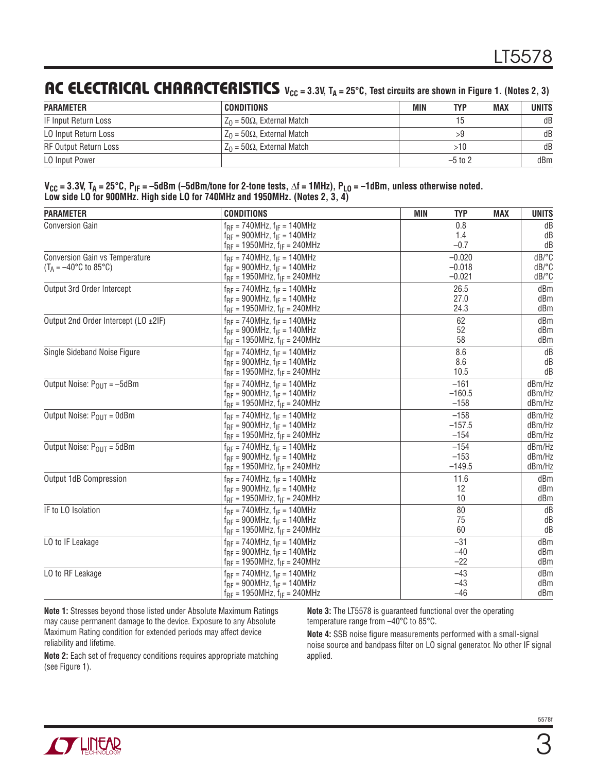### **AC ELECTRICAL CHARACTERISTICS**  $V_{CC} = 3.3V$ ,  $T_A = 25^\circ$ C, Test circuits are shown in Figure 1. (Notes 2, 3)

| <b>PARAMETER</b>      | CONDITIONS                        | MIN | <b>TYP</b> | <b>MAX</b> | <b>UNITS</b> |
|-----------------------|-----------------------------------|-----|------------|------------|--------------|
| IF Input Return Loss  | $Z_0 = 50\Omega$ , External Match |     |            |            | dB           |
| LO Input Return Loss  | $Z_0 = 50\Omega$ , External Match |     |            |            | dB           |
| RF Output Return Loss | $Z_0 = 50\Omega$ , External Match |     | >10        |            | dB           |
| LO Input Power        |                                   |     | $-5$ to 2  |            | dBm          |

| $V_{CC}$ = 3.3V, T <sub>A</sub> = 25°C, P <sub>IF</sub> = -5dBm (-5dBm/tone for 2-tone tests, $\Delta f$ = 1MHz), P <sub>LO</sub> = -1dBm, unless otherwise noted. |
|--------------------------------------------------------------------------------------------------------------------------------------------------------------------|
| Low side LO for 900MHz. High side LO for 740MHz and 1950MHz. (Notes 2, 3, 4)                                                                                       |

| <b>PARAMETER</b>                                                                        | <b>CONDITIONS</b>                                                                                                                                               | <b>MIN</b><br><b>TYP</b><br><b>MAX</b>     | <b>UNITS</b>                                  |
|-----------------------------------------------------------------------------------------|-----------------------------------------------------------------------------------------------------------------------------------------------------------------|--------------------------------------------|-----------------------------------------------|
| <b>Conversion Gain</b>                                                                  | $f_{RF}$ = 740MHz, $f_{IF}$ = 140MHz                                                                                                                            | 0.8                                        | dB                                            |
|                                                                                         | $f_{BF} = 900 MHz$ , $f_{IF} = 140 MHz$                                                                                                                         | 1.4                                        | dB                                            |
| <b>Conversion Gain vs Temperature</b><br>$(T_A = -40^{\circ}C \text{ to } 85^{\circ}C)$ | $f_{RF}$ = 1950MHz, $f_{IF}$ = 240MHz<br>$f_{RF} = 740MHz$ , $f_{IF} = 140MHz$<br>$f_{RF}$ = 900MHz, $f_{IF}$ = 140MHz<br>$f_{RF}$ = 1950MHz, $f_{IF}$ = 240MHz | $-0.7$<br>$-0.020$<br>$-0.018$<br>$-0.021$ | dB<br>dB/°C<br>$dB$ <sup>o</sup> $C$<br>dB/°C |
| Output 3rd Order Intercept                                                              | $f_{RF}$ = 740MHz, $f_{IF}$ = 140MHz                                                                                                                            | 26.5                                       | dBm                                           |
|                                                                                         | $f_{RF}$ = 900MHz, $f_{IF}$ = 140MHz                                                                                                                            | 27.0                                       | dBm                                           |
|                                                                                         | $f_{RF}$ = 1950MHz, $f_{IF}$ = 240MHz                                                                                                                           | 24.3                                       | dBm                                           |
| Output 2nd Order Intercept (LO ±2IF)                                                    | $f_{BF} = 740MHz$ , $f_{IF} = 140MHz$                                                                                                                           | 62                                         | dBm                                           |
|                                                                                         | $f_{RF}$ = 900MHz, $f_{IF}$ = 140MHz                                                                                                                            | 52                                         | dBm                                           |
|                                                                                         | $f_{RF}$ = 1950MHz, $f_{IF}$ = 240MHz                                                                                                                           | 58                                         | dBm                                           |
| Single Sideband Noise Figure                                                            | $f_{RF}$ = 740MHz, $f_{IF}$ = 140MHz                                                                                                                            | 8.6                                        | dB                                            |
|                                                                                         | $f_{RF}$ = 900MHz, $f_{IF}$ = 140MHz                                                                                                                            | 8.6                                        | dB                                            |
|                                                                                         | $f_{RF}$ = 1950MHz, $f_{IF}$ = 240MHz                                                                                                                           | 10.5                                       | dB                                            |
| Output Noise: $P_{OUT} = -5dBm$                                                         | $f_{BF} = 740MHz$ , $f_{IF} = 140MHz$                                                                                                                           | $-161$                                     | dBm/Hz                                        |
|                                                                                         | $f_{BF} = 900 MHz$ , $f_{IF} = 140 MHz$                                                                                                                         | $-160.5$                                   | dBm/Hz                                        |
|                                                                                         | $f_{RF}$ = 1950MHz, $f_{IF}$ = 240MHz                                                                                                                           | $-158$                                     | dBm/Hz                                        |
| Output Noise: $P_{OIII} = 0$ dBm                                                        | $f_{RF}$ = 740MHz, $f_{IF}$ = 140MHz                                                                                                                            | $-158$                                     | dBm/Hz                                        |
|                                                                                         | $f_{RF}$ = 900MHz, $f_{IF}$ = 140MHz                                                                                                                            | $-157.5$                                   | dBm/Hz                                        |
|                                                                                         | $f_{RF}$ = 1950MHz, $f_{IF}$ = 240MHz                                                                                                                           | $-154$                                     | dBm/Hz                                        |
| Output Noise: $P_{OIII} = 5dBm$                                                         | $f_{BF} = 740MHz$ , $f_{IF} = 140MHz$                                                                                                                           | $-154$                                     | dBm/Hz                                        |
|                                                                                         | $f_{BF} = 900 MHz$ , $f_{IF} = 140 MHz$                                                                                                                         | $-153$                                     | dBm/Hz                                        |
|                                                                                         | $f_{RF}$ = 1950MHz, $f_{IF}$ = 240MHz                                                                                                                           | $-149.5$                                   | dBm/Hz                                        |
| Output 1dB Compression                                                                  | $f_{RF}$ = 740MHz, $f_{IF}$ = 140MHz                                                                                                                            | 11.6                                       | dBm                                           |
|                                                                                         | $f_{RF}$ = 900MHz, $f_{IF}$ = 140MHz                                                                                                                            | 12                                         | dBm                                           |
|                                                                                         | $f_{RF}$ = 1950MHz, $f_{IF}$ = 240MHz                                                                                                                           | 10                                         | dBm                                           |
| IF to LO Isolation                                                                      | $f_{BF}$ = 740MHz, $f_{IF}$ = 140MHz                                                                                                                            | 80                                         | dB                                            |
|                                                                                         | $f_{BF}$ = 900MHz, $f_{IF}$ = 140MHz                                                                                                                            | 75                                         | dB                                            |
|                                                                                         | $f_{RF}$ = 1950MHz, $f_{IF}$ = 240MHz                                                                                                                           | 60                                         | dB                                            |
| LO to IF Leakage                                                                        | $f_{RF}$ = 740MHz, $f_{IF}$ = 140MHz                                                                                                                            | $-31$                                      | dBm                                           |
|                                                                                         | $f_{RF}$ = 900MHz, $f_{IF}$ = 140MHz                                                                                                                            | $-40$                                      | dBm                                           |
|                                                                                         | $f_{RF}$ = 1950MHz, $f_{IF}$ = 240MHz                                                                                                                           | $-22$                                      | dBm                                           |
| LO to RF Leakage                                                                        | $f_{BF}$ = 740MHz, $f_{IF}$ = 140MHz                                                                                                                            | $-43$                                      | dBm                                           |
|                                                                                         | $f_{RF}$ = 900MHz, $f_{IF}$ = 140MHz                                                                                                                            | $-43$                                      | dBm                                           |
|                                                                                         | $f_{RF}$ = 1950MHz, $f_{IF}$ = 240MHz                                                                                                                           | $-46$                                      | dBm                                           |

**Note 1:** Stresses beyond those listed under Absolute Maximum Ratings may cause permanent damage to the device. Exposure to any Absolute Maximum Rating condition for extended periods may affect device reliability and lifetime.

**Note 2:** Each set of frequency conditions requires appropriate matching (see Figure 1).

**Note 3:** The LT5578 is guaranteed functional over the operating temperature range from –40°C to 85°C.

Note 4: SSB noise figure measurements performed with a small-signal noise source and bandpass filter on LO signal generator. No other IF signal applied.

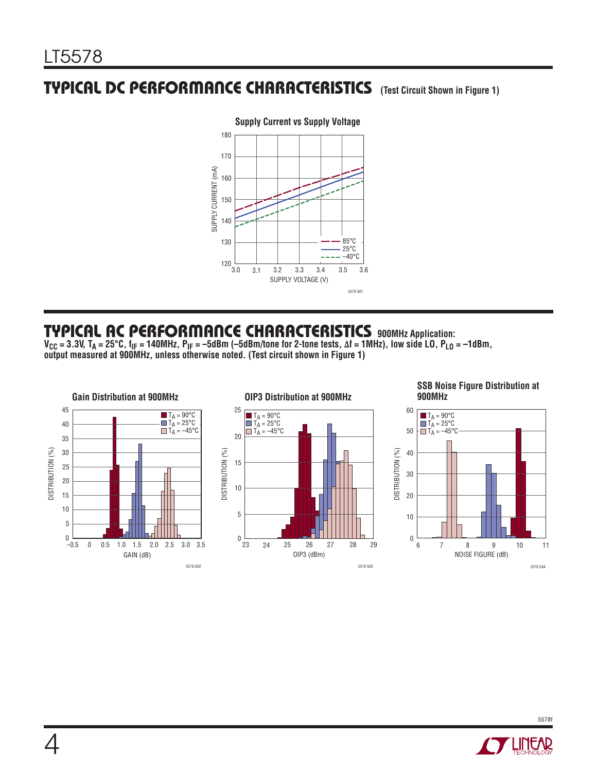### **TYPICAL DC PERFORMANCE CHARACTERISTICS (Test Circuit Shown in Figure 1)**



#### **Supply Current vs Supply Voltage**

#### **TYPICAL AC PERFORMANCE CHARACTERISTICS 900MHz Application:**

**VCC = 3.3V, TA = 25°C, fIF = 140MHz, PIF = –5dBm (–5dBm/tone for 2-tone tests, Δf = 1MHz), low side LO, PLO = –1dBm, output measured at 900MHz, unless otherwise noted. (Test circuit shown in Figure 1)** 



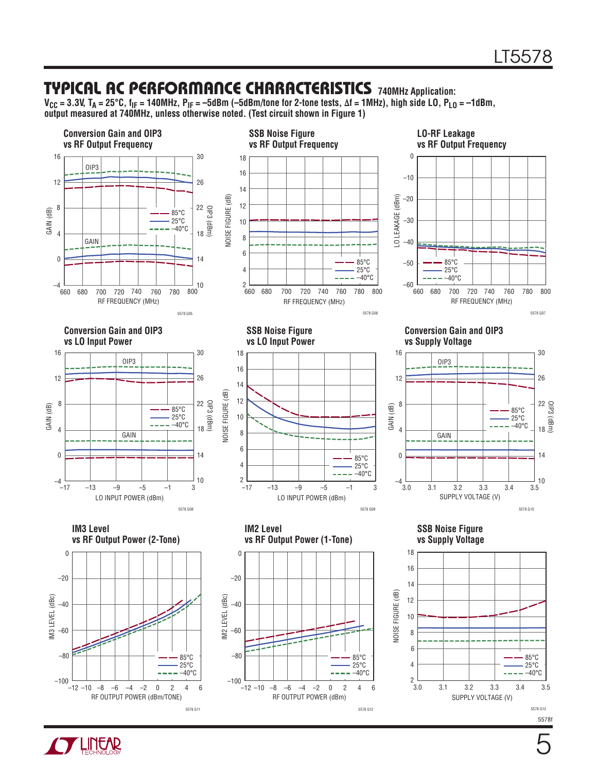#### **TYPICAL AC PERFORMANCE CHARACTERISTICS 740MHz Application:**

**VCC = 3.3V, TA = 25°C, fIF = 140MHz, PIF = –5dBm (–5dBm/tone for 2-tone tests, Δf = 1MHz), high side LO, PLO = –1dBm, output measured at 740MHz, unless otherwise noted. (Test circuit shown in Figure 1)** 



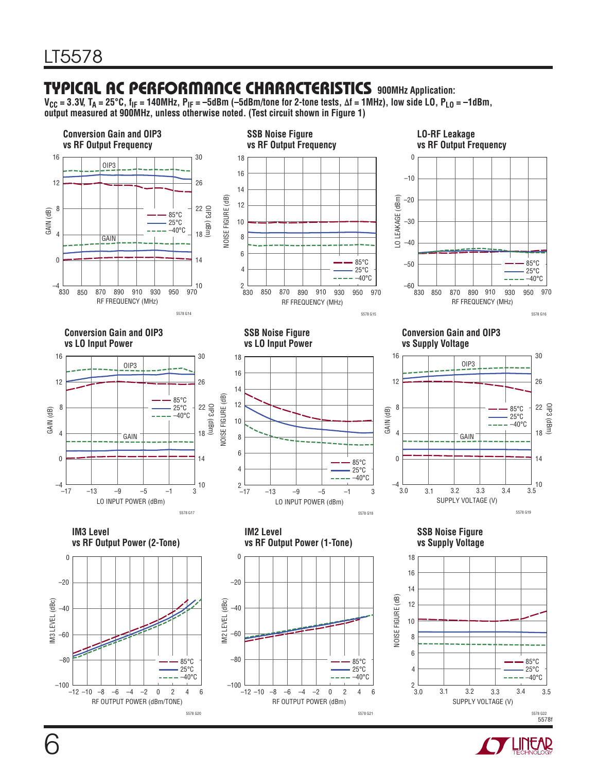#### **TYPICAL AC PERFORMANCE CHARACTERISTICS 900MHz Application:**

**VCC = 3.3V, TA = 25°C, fIF = 140MHz, PIF = –5dBm (–5dBm/tone for 2-tone tests, Δf = 1MHz), low side LO, PLO = –1dBm, output measured at 900MHz, unless otherwise noted. (Test circuit shown in Figure 1)** 



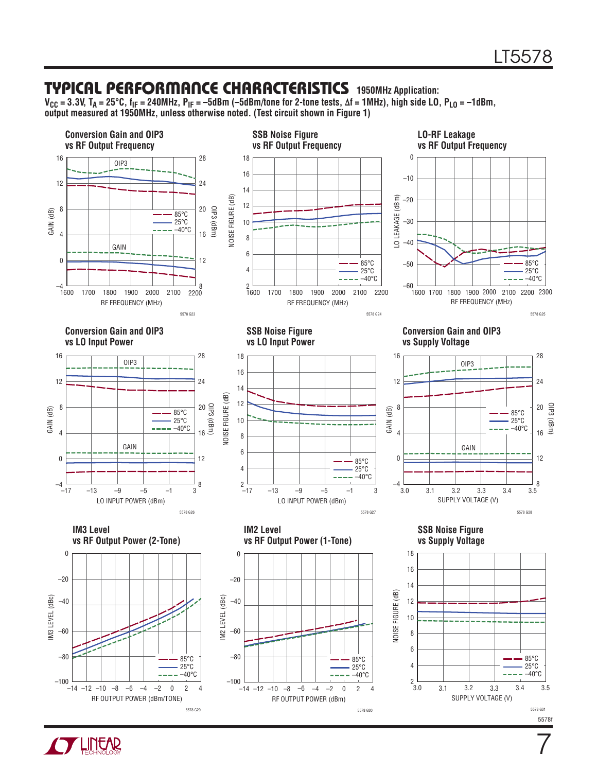#### **TYPICAL PERFORMANCE CHARACTERISTICS 1950MHz Application:**

**VCC = 3.3V, TA = 25°C, fIF = 240MHz, PIF = –5dBm (–5dBm/tone for 2-tone tests, Δf = 1MHz), high side LO, PLO = –1dBm, output measured at 1950MHz, unless otherwise noted. (Test circuit shown in Figure 1)** 



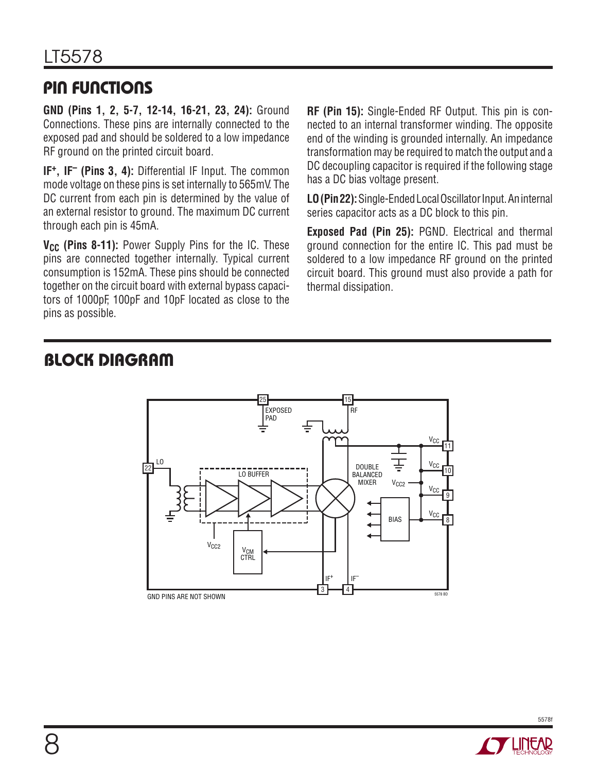### **PIN FUNCTIONS**

**GND (Pins 1, 2, 5-7, 12-14, 16-21, 23, 24):** Ground Connections. These pins are internally connected to the exposed pad and should be soldered to a low impedance RF ground on the printed circuit board.

**IF+, IF– (Pins 3, 4):** Differential IF Input. The common mode voltage on these pins is set internally to 565mV. The DC current from each pin is determined by the value of an external resistor to ground. The maximum DC current through each pin is 45mA.

**V<sub>CC</sub>** (Pins 8-11): Power Supply Pins for the IC. These pins are connected together internally. Typical current consumption is 152mA. These pins should be connected together on the circuit board with external bypass capacitors of 1000pF, 100pF and 10pF located as close to the pins as possible.

**RF (Pin 15):** Single-Ended RF Output. This pin is connected to an internal transformer winding. The opposite end of the winding is grounded internally. An impedance transformation may be required to match the output and a DC decoupling capacitor is required if the following stage has a DC bias voltage present.

**LO (Pin 22):** Single-Ended Local Oscillator Input. An internal series capacitor acts as a DC block to this pin.

**Exposed Pad (Pin 25):** PGND. Electrical and thermal ground connection for the entire IC. This pad must be soldered to a low impedance RF ground on the printed circuit board. This ground must also provide a path for thermal dissipation.

## **BLOCK DIAGRAM**



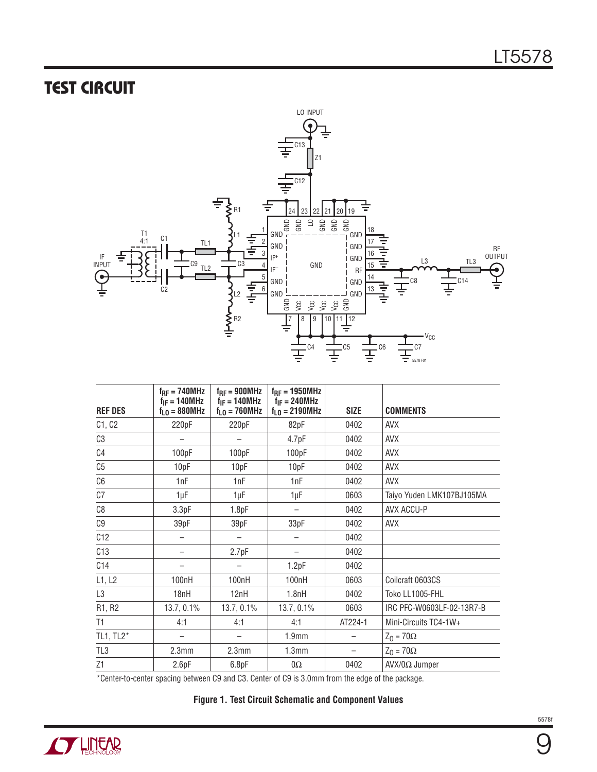## **TEST CIRCUIT**



| <b>REF DES</b> | $f_{RF} = 740 MHz$<br>$f_{IF} = 140 MHz$<br>$fLO = 880MHz$ | $f_{RF} = 900 MHz$<br>$f_{IF} = 140 MHz$<br>$fLO = 760 MHz$ | $f_{RF} = 1950 MHz$<br>$f_{IF} = 240 MHz$<br>$f_{L0} = 2190 MHz$ | <b>SIZE</b> | <b>COMMENTS</b>           |
|----------------|------------------------------------------------------------|-------------------------------------------------------------|------------------------------------------------------------------|-------------|---------------------------|
| C1, C2         | 220pF                                                      | 220pF                                                       | 82pF                                                             | 0402        | <b>AVX</b>                |
| C3             | —                                                          | $\overline{\phantom{m}}$                                    | 4.7pF                                                            | 0402        | AVX                       |
| C4             | 100pF                                                      | 100pF                                                       | 100pF                                                            | 0402        | AVX                       |
| C <sub>5</sub> | 10pF                                                       | 10pF                                                        | 10pF                                                             | 0402        | <b>AVX</b>                |
| C6             | 1nF                                                        | 1nF                                                         | 1nF                                                              | 0402        | <b>AVX</b>                |
| C7             | 1µF                                                        | 1µF                                                         | 1µF                                                              | 0603        | Taiyo Yuden LMK107BJ105MA |
| C8             | 3.3pF                                                      | 1.8pF                                                       | $\overline{\phantom{0}}$                                         | 0402        | AVX ACCU-P                |
| C9             | 39pF                                                       | 39pF                                                        | 33pF                                                             | 0402        | AVX                       |
| C12            |                                                            |                                                             |                                                                  | 0402        |                           |
| C13            |                                                            | 2.7pF                                                       | $\overline{\phantom{0}}$                                         | 0402        |                           |
| C14            |                                                            |                                                             | 1.2pF                                                            | 0402        |                           |
| L1, L2         | 100nH                                                      | 100 <sub>n</sub> H                                          | 100nH                                                            | 0603        | Coilcraft 0603CS          |
| L3             | 18nH                                                       | 12nH                                                        | 1.8nH                                                            | 0402        | Toko LL1005-FHL           |
| R1, R2         | 13.7, 0.1%                                                 | 13.7, 0.1%                                                  | 13.7, 0.1%                                                       | 0603        | IRC PFC-W0603LF-02-13R7-B |
| T1             | 4:1                                                        | 4:1                                                         | 4:1                                                              | AT224-1     | Mini-Circuits TC4-1W+     |
| TL1, $TL2^*$   |                                                            |                                                             | 1.9 <sub>mm</sub>                                                |             | $Z_0 = 70\Omega$          |
| TL3            | 2.3 <sub>mm</sub>                                          | 2.3 <sub>mm</sub>                                           | 1.3 <sub>mm</sub>                                                | —           | $Z_0 = 70\Omega$          |
| Z1             | 2.6pF                                                      | 6.8pF                                                       | $0\Omega$                                                        | 0402        | $AVX/0\Omega$ Jumper      |

\*Center-to-center spacing between C9 and C3. Center of C9 is 3.0mm from the edge of the package.

**Figure 1. Test Circuit Schematic and Component Values**

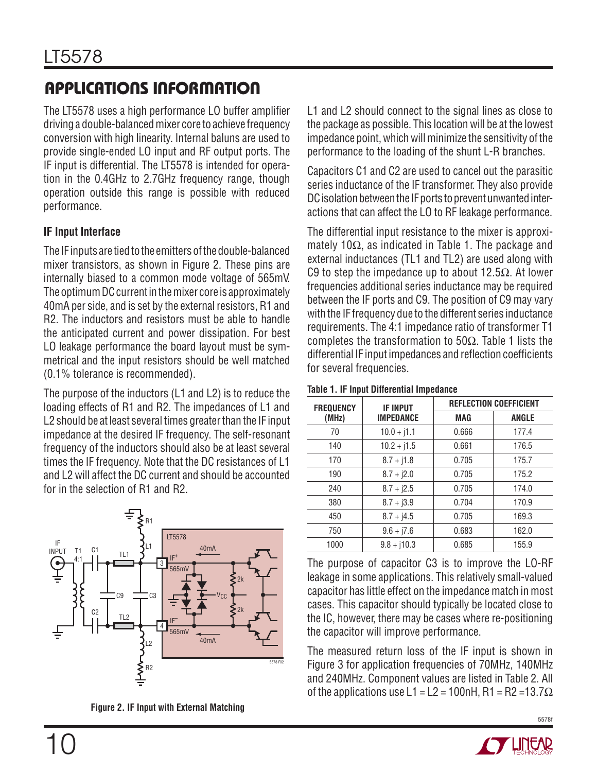# **APPLICATIONS INFORMATION**

The LT5578 uses a high performance LO buffer amplifier driving a double-balanced mixer core to achieve frequency conversion with high linearity. Internal baluns are used to provide single-ended LO input and RF output ports. The IF input is differential. The LT5578 is intended for operation in the 0.4GHz to 2.7GHz frequency range, though operation outside this range is possible with reduced performance.

#### **IF Input Interface**

The IF inputs are tied to the emitters of the double-balanced mixer transistors, as shown in Figure 2. These pins are internally biased to a common mode voltage of 565mV. The optimum DC current in the mixer core is approximately 40mA per side, and is set by the external resistors, R1 and R2. The inductors and resistors must be able to handle the anticipated current and power dissipation. For best LO leakage performance the board layout must be symmetrical and the input resistors should be well matched (0.1% tolerance is recommended).

The purpose of the inductors (L1 and L2) is to reduce the loading effects of R1 and R2. The impedances of L1 and L2 should be at least several times greater than the IF input impedance at the desired IF frequency. The self-resonant frequency of the inductors should also be at least several times the IF frequency. Note that the DC resistances of L1 and L2 will affect the DC current and should be accounted for in the selection of R1 and R2.



**Figure 2. IF Input with External Matching**

L1 and L2 should connect to the signal lines as close to the package as possible. This location will be at the lowest impedance point, which will minimize the sensitivity of the performance to the loading of the shunt L-R branches.

Capacitors C1 and C2 are used to cancel out the parasitic series inductance of the IF transformer. They also provide DC isolation between the IF ports to prevent unwanted interactions that can affect the LO to RF leakage performance.

The differential input resistance to the mixer is approximately 10 $\Omega$ , as indicated in Table 1. The package and external inductances (TL1 and TL2) are used along with C9 to step the impedance up to about 12.5 $\Omega$ . At lower frequencies additional series inductance may be required between the IF ports and C9. The position of C9 may vary with the IF frequency due to the different series inductance requirements. The 4:1 impedance ratio of transformer T1 completes the transformation to 50Ω. Table 1 lists the differential IF input impedances and reflection coefficients for several frequencies.

| <b>FREQUENCY</b> | <b>IF INPUT</b>  |            | <b>REFLECTION COEFFICIENT</b> |
|------------------|------------------|------------|-------------------------------|
| (MHz)            | <b>IMPEDANCE</b> | <b>MAG</b> | <b>ANGLE</b>                  |
| 70               | $10.0 + j1.1$    | 0.666      | 177.4                         |
| 140              | $10.2 + j1.5$    | 0.661      | 176.5                         |
| 170              | $8.7 + j1.8$     | 0.705      | 175.7                         |
| 190              | $8.7 + i2.0$     | 0.705      | 175.2                         |
| 240              | $8.7 + j2.5$     | 0.705      | 174.0                         |
| 380              | $8.7 + j3.9$     | 0.704      | 170.9                         |
| 450              | $8.7 + j4.5$     | 0.705      | 169.3                         |
| 750              | $9.6 + j7.6$     | 0.683      | 162.0                         |
| 1000             | $9.8 + j10.3$    | 0.685      | 155.9                         |

#### **Table 1. IF Input Differential Impedance**

The purpose of capacitor C3 is to improve the LO-RF leakage in some applications. This relatively small-valued capacitor has little effect on the impedance match in most cases. This capacitor should typically be located close to the IC, however, there may be cases where re-positioning the capacitor will improve performance.

The measured return loss of the IF input is shown in Figure 3 for application frequencies of 70MHz, 140MHz and 240MHz. Component values are listed in Table 2. All of the applications use L1 = L2 = 100nH, R1 = R2 = 13.7 $\Omega$ 

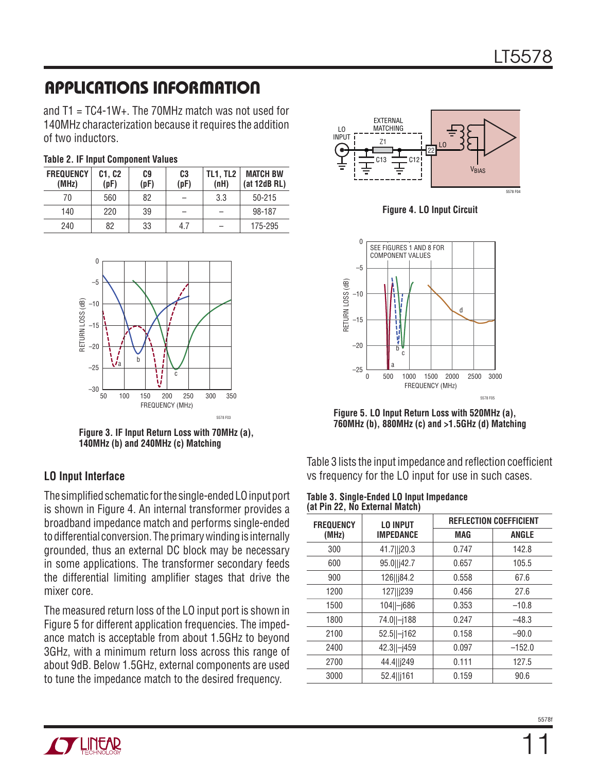# **APPLICATIONS INFORMATION**

and  $T1 = TC4-1W+$ . The 70MHz match was not used for 140MHz characterization because it requires the addition of two inductors.

|  | <b>Table 2. IF Input Component Values</b> |  |
|--|-------------------------------------------|--|
|--|-------------------------------------------|--|

| <b>FREQUENCY</b><br>(MHz) | C1. C2<br>(pF) | C9<br>(pF) | C <sub>3</sub><br>(pF) | <b>TL1. TL2</b><br>(nH) | <b>MATCH BW</b><br>(at 12dB RL) |
|---------------------------|----------------|------------|------------------------|-------------------------|---------------------------------|
| 70                        | 560            | 82         |                        | 3.3                     | $50 - 215$                      |
| 140                       | 220            | 39         |                        |                         | 98-187                          |
| 240                       | 82             | 33         | 4.7                    |                         | 175-295                         |



**Figure 3. IF Input Return Loss with 70MHz (a), 140MHz (b) and 240MHz (c) Matching**

#### **LO Input Interface**

The simplified schematic for the single-ended LO input port is shown in Figure 4. An internal transformer provides a broadband impedance match and performs single-ended to differential conversion. The primary winding is internally grounded, thus an external DC block may be necessary in some applications. The transformer secondary feeds the differential limiting amplifier stages that drive the mixer core.

The measured return loss of the LO input port is shown in Figure 5 for different application frequencies. The impedance match is acceptable from about 1.5GHz to beyond 3GHz, with a minimum return loss across this range of about 9dB. Below 1.5GHz, external components are used to tune the impedance match to the desired frequency.



**Figure 4. LO Input Circuit**



**Figure 5. LO Input Return Loss with 520MHz (a), 760MHz (b), 880MHz (c) and >1.5GHz (d) Matching**

Table 3 lists the input impedance and reflection coefficient vs frequency for the LO input for use in such cases.

| Table 3. Single-Ended LO Input Impedance |  |
|------------------------------------------|--|
| (at Pin 22, No External Match)           |  |

| <b>FREQUENCY</b> | <b>REFLECTION COEFFICIENT</b><br><b>LO INPUT</b> |            |              |
|------------------|--------------------------------------------------|------------|--------------|
| (MHz)            | <b>IMPEDANCE</b>                                 | <b>MAG</b> | <b>ANGLE</b> |
| 300              | 41.7  j20.3                                      | 0.747      | 142.8        |
| 600              | 95.0  j42.7                                      | 0.657      | 105.5        |
| 900              | 126  j84.2                                       | 0.558      | 67.6         |
| 1200             | 127  j239                                        | 0.456      | 27.6         |
| 1500             | 104  -j686                                       | 0.353      | $-10.8$      |
| 1800             | 74.0  -j188                                      | 0.247      | $-48.3$      |
| 2100             | $52.5$   -j162                                   | 0.158      | $-90.0$      |
| 2400             | 42.3  -j459                                      | 0.097      | $-152.0$     |
| 2700             | 44.4  j249                                       | 0.111      | 127.5        |
| 3000             | 52.4  j161                                       | 0.159      | 90.6         |

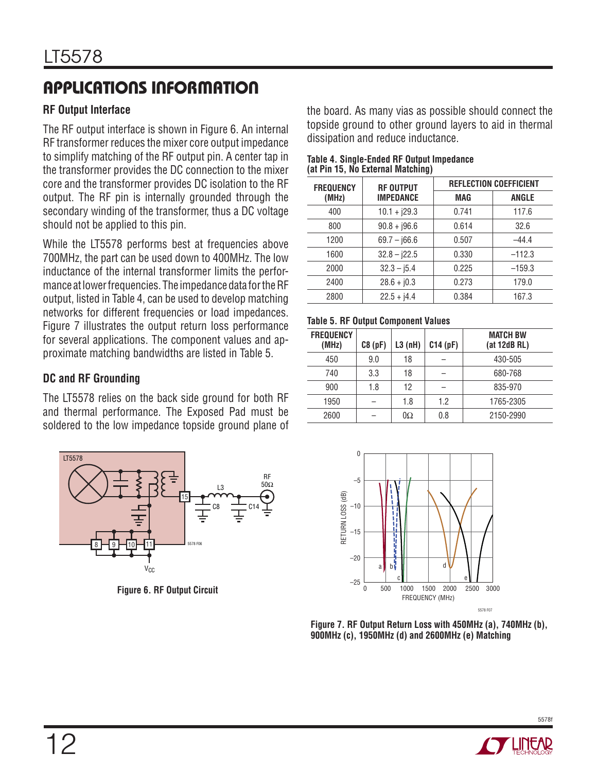# **APPLICATIONS INFORMATION**

#### **RF Output Interface**

The RF output interface is shown in Figure 6. An internal RF transformer reduces the mixer core output impedance to simplify matching of the RF output pin. A center tap in the transformer provides the DC connection to the mixer core and the transformer provides DC isolation to the RF output. The RF pin is internally grounded through the secondary winding of the transformer, thus a DC voltage should not be applied to this pin.

While the LT5578 performs best at frequencies above 700MHz, the part can be used down to 400MHz. The low inductance of the internal transformer limits the performance at lower frequencies. The impedance data for the RF output, listed in Table 4, can be used to develop matching networks for different frequencies or load impedances. Figure 7 illustrates the output return loss performance for several applications. The component values and approximate matching bandwidths are listed in Table 5.

#### **DC and RF Grounding**

The LT5578 relies on the back side ground for both RF and thermal performance. The Exposed Pad must be soldered to the low impedance topside ground plane of



**Figure 6. RF Output Circuit**

the board. As many vias as possible should connect the topside ground to other ground layers to aid in thermal dissipation and reduce inductance.

| Table 4. Single-Ended RF Output Impedance |  |
|-------------------------------------------|--|
| (at Pin 15, No External Matching)         |  |

| <b>FREQUENCY</b> | <b>RF OUTPUT</b> |            | <b>REFLECTION COEFFICIENT</b> |
|------------------|------------------|------------|-------------------------------|
| (MHz)            | <b>IMPEDANCE</b> | <b>MAG</b> | <b>ANGLE</b>                  |
| 400              | $10.1 + j29.3$   | 0.741      | 117.6                         |
| 800              | $90.8 + j96.6$   | 0.614      | 32.6                          |
| 1200             | $69.7 - 166.6$   | 0.507      | $-44.4$                       |
| 1600             | $32.8 - j22.5$   | 0.330      | $-112.3$                      |
| 2000             | $32.3 - j5.4$    | 0.225      | $-159.3$                      |
| 2400             | $28.6 + j0.3$    | 0.273      | 179.0                         |
| 2800             | $22.5 + j4.4$    | 0.384      | 167.3                         |

#### **Table 5. RF Output Component Values**

| <b>FREQUENCY</b><br>(MHz) | C8(pF) | L3(nH)    | C14(pF) | <b>MATCH BW</b><br>(at 12dB RL) |
|---------------------------|--------|-----------|---------|---------------------------------|
| 450                       | 9.0    | 18        |         | 430-505                         |
| 740                       | 3.3    | 18        |         | 680-768                         |
| 900                       | 1.8    | 12        |         | 835-970                         |
| 1950                      |        | 1.8       | 1.2     | 1765-2305                       |
| 2600                      |        | $0\Omega$ | 0.8     | 2150-2990                       |



**Figure 7. RF Output Return Loss with 450MHz (a), 740MHz (b), 900MHz (c), 1950MHz (d) and 2600MHz (e) Matching**

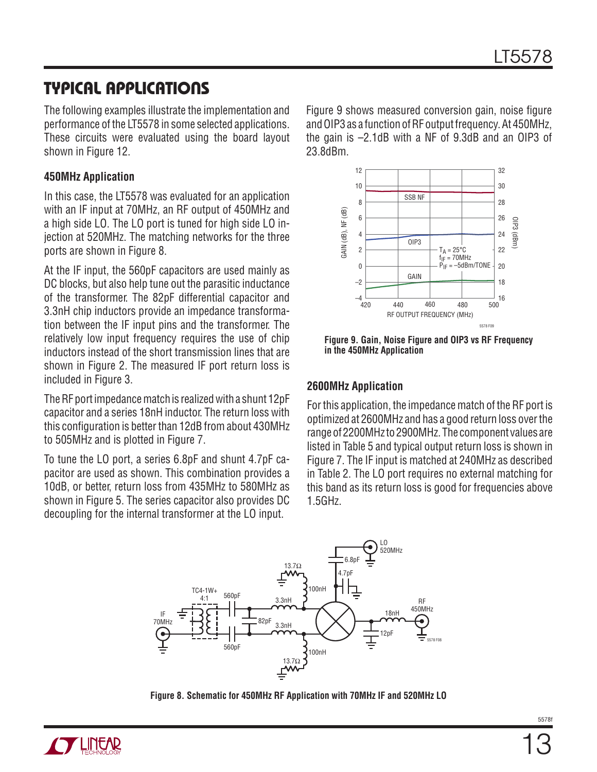### **TYPICAL APPLICATIONS**

The following examples illustrate the implementation and performance of the LT5578 in some selected applications. These circuits were evaluated using the board layout shown in Figure 12.

#### **450MHz Application**

In this case, the LT5578 was evaluated for an application with an IF input at 70MHz, an RF output of 450MHz and a high side LO. The LO port is tuned for high side LO injection at 520MHz. The matching networks for the three ports are shown in Figure 8.

At the IF input, the 560pF capacitors are used mainly as DC blocks, but also help tune out the parasitic inductance of the transformer. The 82pF differential capacitor and 3.3nH chip inductors provide an impedance transformation between the IF input pins and the transformer. The relatively low input frequency requires the use of chip inductors instead of the short transmission lines that are shown in Figure 2. The measured IF port return loss is included in Figure 3.

The RF port impedance match is realized with a shunt 12pF capacitor and a series 18nH inductor. The return loss with this configuration is better than 12dB from about 430MHz to 505MHz and is plotted in Figure 7.

To tune the LO port, a series 6.8pF and shunt 4.7pF capacitor are used as shown. This combination provides a 10dB, or better, return loss from 435MHz to 580MHz as shown in Figure 5. The series capacitor also provides DC decoupling for the internal transformer at the LO input.

Figure 9 shows measured conversion gain, noise figure and OIP3 as a function of RF output frequency. At 450MHz, the gain is –2.1dB with a NF of 9.3dB and an OIP3 of 23.8dBm.



**Figure 9. Gain, Noise Figure and OIP3 vs RF Frequency in the 450MHz Application**

#### **2600MHz Application**

For this application, the impedance match of the RF port is optimized at 2600MHz and has a good return loss over the range of 2200MHz to 2900MHz. The component values are listed in Table 5 and typical output return loss is shown in Figure 7. The IF input is matched at 240MHz as described in Table 2. The LO port requires no external matching for this band as its return loss is good for frequencies above 1.5GHz.



**Figure 8. Schematic for 450MHz RF Application with 70MHz IF and 520MHz LO**

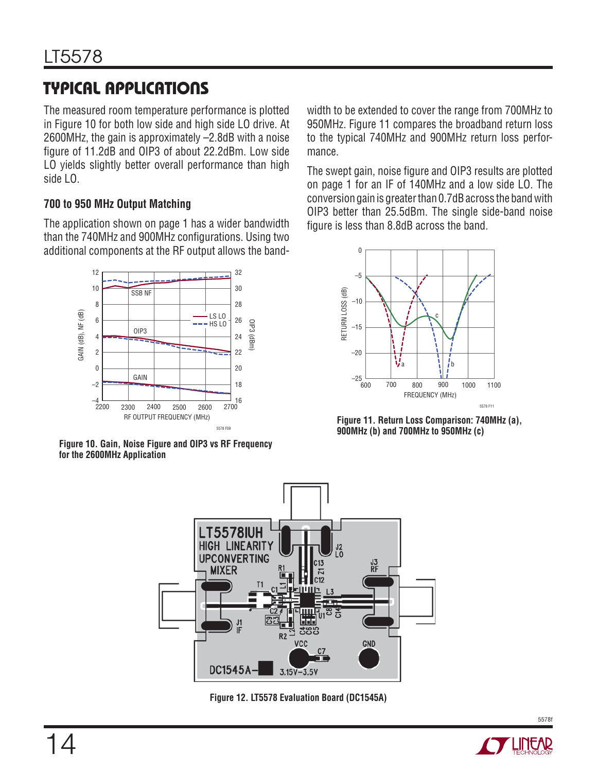# **TYPICAL APPLICATIONS**

The measured room temperature performance is plotted in Figure 10 for both low side and high side LO drive. At 2600MHz, the gain is approximately –2.8dB with a noise figure of 11.2dB and OIP3 of about 22.2dBm. Low side LO yields slightly better overall performance than high side LO.

#### **700 to 950 MHz Output Matching**

The application shown on page 1 has a wider bandwidth than the 740MHz and 900MHz configurations. Using two additional components at the RF output allows the band-



**Figure 10. Gain, Noise Figure and OIP3 vs RF Frequency for the 2600MHz Application**

width to be extended to cover the range from 700MHz to 950MHz. Figure 11 compares the broadband return loss to the typical 740MHz and 900MHz return loss performance.

The swept gain, noise figure and OIP3 results are plotted on page 1 for an IF of 140MHz and a low side LO. The conversion gain is greater than 0.7dB across the band with OIP3 better than 25.5dBm. The single side-band noise figure is less than 8.8dB across the band.



**Figure 11. Return Loss Comparison: 740MHz (a), 900MHz (b) and 700MHz to 950MHz (c)**



**Figure 12. LT5578 Evaluation Board (DC1545A)**

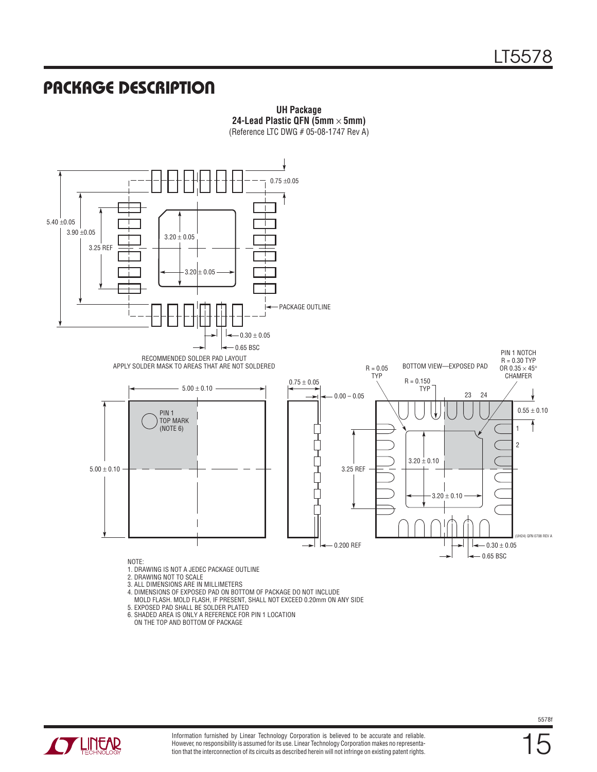#### **PACKAGE DESCRIPTION**



**UH Package 24-Lead Plastic QFN (5mm** × **5mm)** (Reference LTC DWG # 05-08-1747 Rev A)

- MOLD FLASH. MOLD FLASH, IF PRESENT, SHALL NOT EXCEED 0.20mm ON ANY SIDE 5. EXPOSED PAD SHALL BE SOLDER PLATED
- 6. SHADED AREA IS ONLY A REFERENCE FOR PIN 1 LOCATION ON THE TOP AND BOTTOM OF PACKAGE